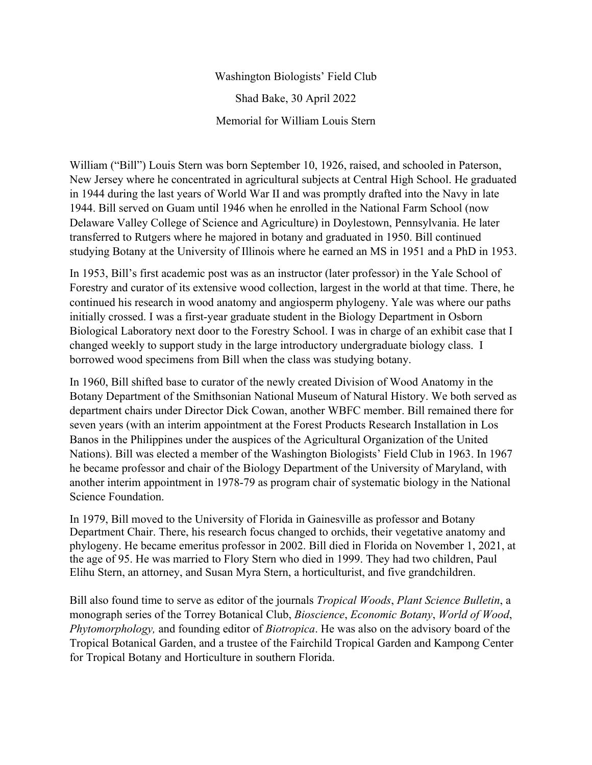Washington Biologists' Field Club Shad Bake, 30 April 2022 Memorial for William Louis Stern

William ("Bill") Louis Stern was born September 10, 1926, raised, and schooled in Paterson, New Jersey where he concentrated in agricultural subjects at Central High School. He graduated in 1944 during the last years of World War II and was promptly drafted into the Navy in late 1944. Bill served on Guam until 1946 when he enrolled in the National Farm School (now Delaware Valley College of Science and Agriculture) in Doylestown, Pennsylvania. He later transferred to Rutgers where he majored in botany and graduated in 1950. Bill continued studying Botany at the University of Illinois where he earned an MS in 1951 and a PhD in 1953.

In 1953, Bill's first academic post was as an instructor (later professor) in the Yale School of Forestry and curator of its extensive wood collection, largest in the world at that time. There, he continued his research in wood anatomy and angiosperm phylogeny. Yale was where our paths initially crossed. I was a first-year graduate student in the Biology Department in Osborn Biological Laboratory next door to the Forestry School. I was in charge of an exhibit case that I changed weekly to support study in the large introductory undergraduate biology class. I borrowed wood specimens from Bill when the class was studying botany.

In 1960, Bill shifted base to curator of the newly created Division of Wood Anatomy in the Botany Department of the Smithsonian National Museum of Natural History. We both served as department chairs under Director Dick Cowan, another WBFC member. Bill remained there for seven years (with an interim appointment at the Forest Products Research Installation in Los Banos in the Philippines under the auspices of the Agricultural Organization of the United Nations). Bill was elected a member of the Washington Biologists' Field Club in 1963. In 1967 he became professor and chair of the Biology Department of the University of Maryland, with another interim appointment in 1978-79 as program chair of systematic biology in the National Science Foundation.

In 1979, Bill moved to the University of Florida in Gainesville as professor and Botany Department Chair. There, his research focus changed to orchids, their vegetative anatomy and phylogeny. He became emeritus professor in 2002. Bill died in Florida on November 1, 2021, at the age of 95. He was married to Flory Stern who died in 1999. They had two children, Paul Elihu Stern, an attorney, and Susan Myra Stern, a horticulturist, and five grandchildren.

Bill also found time to serve as editor of the journals *Tropical Woods*, *Plant Science Bulletin*, a monograph series of the Torrey Botanical Club, *Bioscience*, *Economic Botany*, *World of Wood*, *Phytomorphology,* and founding editor of *Biotropica*. He was also on the advisory board of the Tropical Botanical Garden, and a trustee of the Fairchild Tropical Garden and Kampong Center for Tropical Botany and Horticulture in southern Florida.